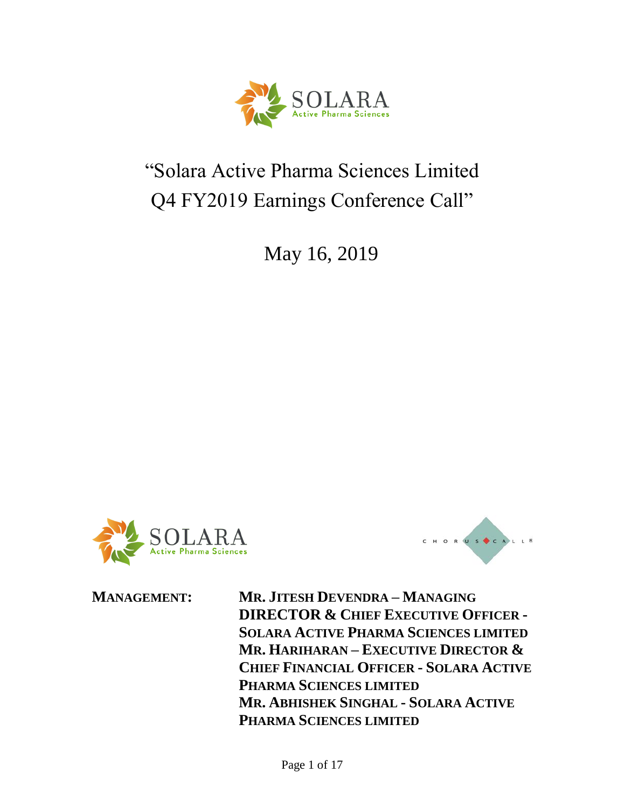

### "Solara Active Pharma Sciences Limited Q4 FY2019 Earnings Conference Call"

May 16, 2019





**MANAGEMENT: MR. JITESH DEVENDRA – MANAGING DIRECTOR & CHIEF EXECUTIVE OFFICER - SOLARA ACTIVE PHARMA SCIENCES LIMITED MR. HARIHARAN – EXECUTIVE DIRECTOR & CHIEF FINANCIAL OFFICER - SOLARA ACTIVE PHARMA SCIENCES LIMITED MR. ABHISHEK SINGHAL - SOLARA ACTIVE PHARMA SCIENCES LIMITED**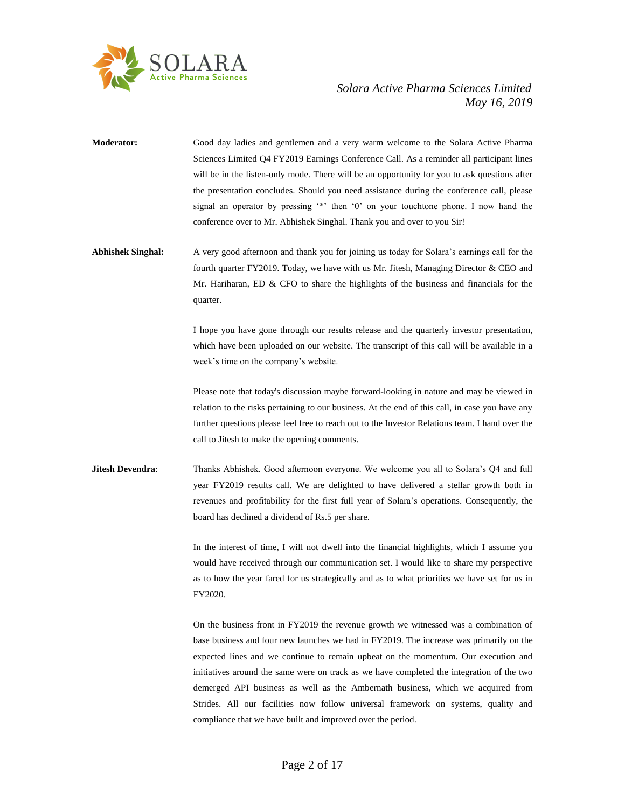

- **Moderator:** Good day ladies and gentlemen and a very warm welcome to the Solara Active Pharma Sciences Limited Q4 FY2019 Earnings Conference Call. As a reminder all participant lines will be in the listen-only mode. There will be an opportunity for you to ask questions after the presentation concludes. Should you need assistance during the conference call, please signal an operator by pressing '\*' then '0' on your touchtone phone. I now hand the conference over to Mr. Abhishek Singhal. Thank you and over to you Sir!
- **Abhishek Singhal:** A very good afternoon and thank you for joining us today for Solara's earnings call for the fourth quarter FY2019. Today, we have with us Mr. Jitesh, Managing Director & CEO and Mr. Hariharan, ED  $\&$  CFO to share the highlights of the business and financials for the quarter.

I hope you have gone through our results release and the quarterly investor presentation, which have been uploaded on our website. The transcript of this call will be available in a week's time on the company's website.

Please note that today's discussion maybe forward-looking in nature and may be viewed in relation to the risks pertaining to our business. At the end of this call, in case you have any further questions please feel free to reach out to the Investor Relations team. I hand over the call to Jitesh to make the opening comments.

**Jitesh Devendra**: Thanks Abhishek. Good afternoon everyone. We welcome you all to Solara's Q4 and full year FY2019 results call. We are delighted to have delivered a stellar growth both in revenues and profitability for the first full year of Solara's operations. Consequently, the board has declined a dividend of Rs.5 per share.

> In the interest of time, I will not dwell into the financial highlights, which I assume you would have received through our communication set. I would like to share my perspective as to how the year fared for us strategically and as to what priorities we have set for us in FY2020.

> On the business front in FY2019 the revenue growth we witnessed was a combination of base business and four new launches we had in FY2019. The increase was primarily on the expected lines and we continue to remain upbeat on the momentum. Our execution and initiatives around the same were on track as we have completed the integration of the two demerged API business as well as the Ambernath business, which we acquired from Strides. All our facilities now follow universal framework on systems, quality and compliance that we have built and improved over the period.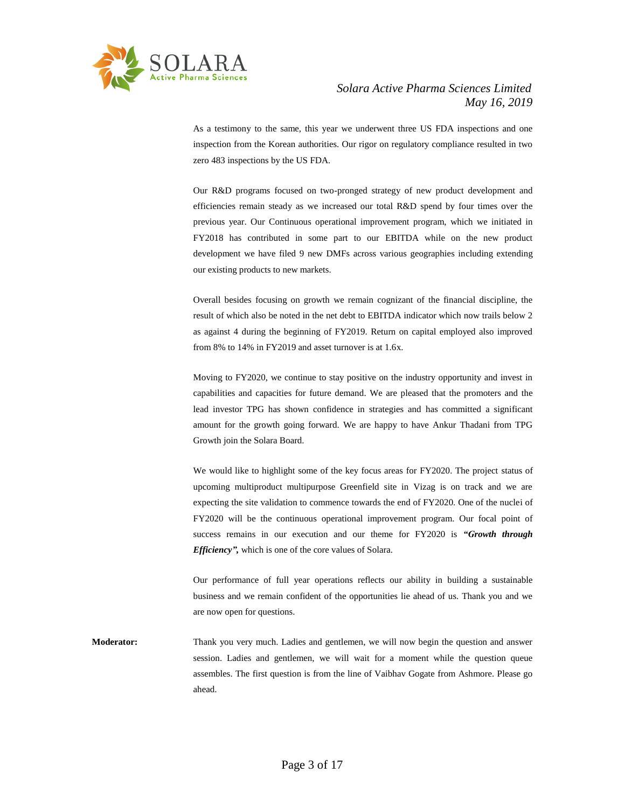

As a testimony to the same, this year we underwent three US FDA inspections and one inspection from the Korean authorities. Our rigor on regulatory compliance resulted in two zero 483 inspections by the US FDA.

Our R&D programs focused on two-pronged strategy of new product development and efficiencies remain steady as we increased our total R&D spend by four times over the previous year. Our Continuous operational improvement program, which we initiated in FY2018 has contributed in some part to our EBITDA while on the new product development we have filed 9 new DMFs across various geographies including extending our existing products to new markets.

Overall besides focusing on growth we remain cognizant of the financial discipline, the result of which also be noted in the net debt to EBITDA indicator which now trails below 2 as against 4 during the beginning of FY2019. Return on capital employed also improved from 8% to 14% in FY2019 and asset turnover is at 1.6x.

Moving to FY2020, we continue to stay positive on the industry opportunity and invest in capabilities and capacities for future demand. We are pleased that the promoters and the lead investor TPG has shown confidence in strategies and has committed a significant amount for the growth going forward. We are happy to have Ankur Thadani from TPG Growth join the Solara Board.

We would like to highlight some of the key focus areas for FY2020. The project status of upcoming multiproduct multipurpose Greenfield site in Vizag is on track and we are expecting the site validation to commence towards the end of FY2020. One of the nuclei of FY2020 will be the continuous operational improvement program. Our focal point of success remains in our execution and our theme for FY2020 is *"Growth through Efficiency",* which is one of the core values of Solara.

Our performance of full year operations reflects our ability in building a sustainable business and we remain confident of the opportunities lie ahead of us. Thank you and we are now open for questions.

**Moderator:** Thank you very much. Ladies and gentlemen, we will now begin the question and answer session. Ladies and gentlemen, we will wait for a moment while the question queue assembles. The first question is from the line of Vaibhav Gogate from Ashmore. Please go ahead.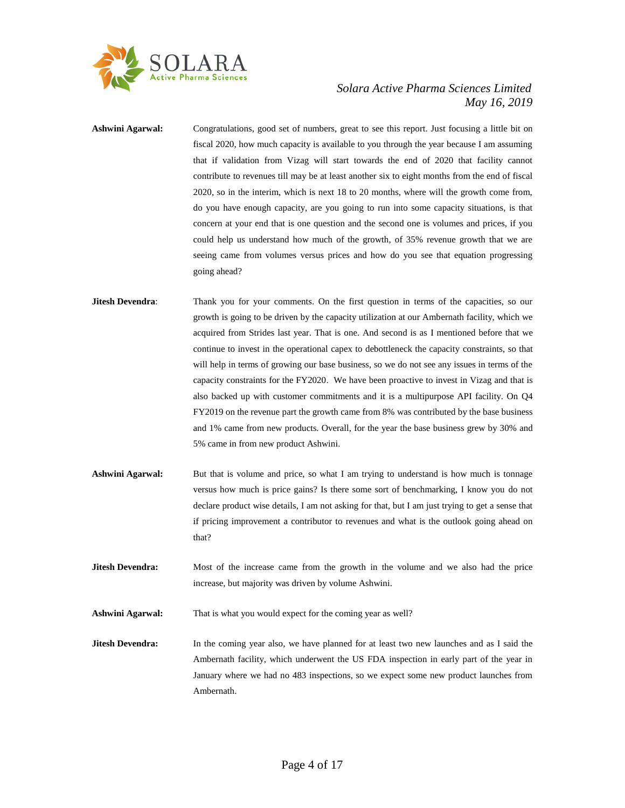

- **Ashwini Agarwal:** Congratulations, good set of numbers, great to see this report. Just focusing a little bit on fiscal 2020, how much capacity is available to you through the year because I am assuming that if validation from Vizag will start towards the end of 2020 that facility cannot contribute to revenues till may be at least another six to eight months from the end of fiscal 2020, so in the interim, which is next 18 to 20 months, where will the growth come from, do you have enough capacity, are you going to run into some capacity situations, is that concern at your end that is one question and the second one is volumes and prices, if you could help us understand how much of the growth, of 35% revenue growth that we are seeing came from volumes versus prices and how do you see that equation progressing going ahead?
- **Jitesh Devendra:** Thank you for your comments. On the first question in terms of the capacities, so our growth is going to be driven by the capacity utilization at our Ambernath facility, which we acquired from Strides last year. That is one. And second is as I mentioned before that we continue to invest in the operational capex to debottleneck the capacity constraints, so that will help in terms of growing our base business, so we do not see any issues in terms of the capacity constraints for the FY2020. We have been proactive to invest in Vizag and that is also backed up with customer commitments and it is a multipurpose API facility. On Q4 FY2019 on the revenue part the growth came from 8% was contributed by the base business and 1% came from new products. Overall, for the year the base business grew by 30% and 5% came in from new product Ashwini.
- **Ashwini Agarwal:** But that is volume and price, so what I am trying to understand is how much is tonnage versus how much is price gains? Is there some sort of benchmarking, I know you do not declare product wise details, I am not asking for that, but I am just trying to get a sense that if pricing improvement a contributor to revenues and what is the outlook going ahead on that?
- **Jitesh Devendra:** Most of the increase came from the growth in the volume and we also had the price increase, but majority was driven by volume Ashwini.

**Ashwini Agarwal:** That is what you would expect for the coming year as well?

**Jitesh Devendra:** In the coming year also, we have planned for at least two new launches and as I said the Ambernath facility, which underwent the US FDA inspection in early part of the year in January where we had no 483 inspections, so we expect some new product launches from Ambernath.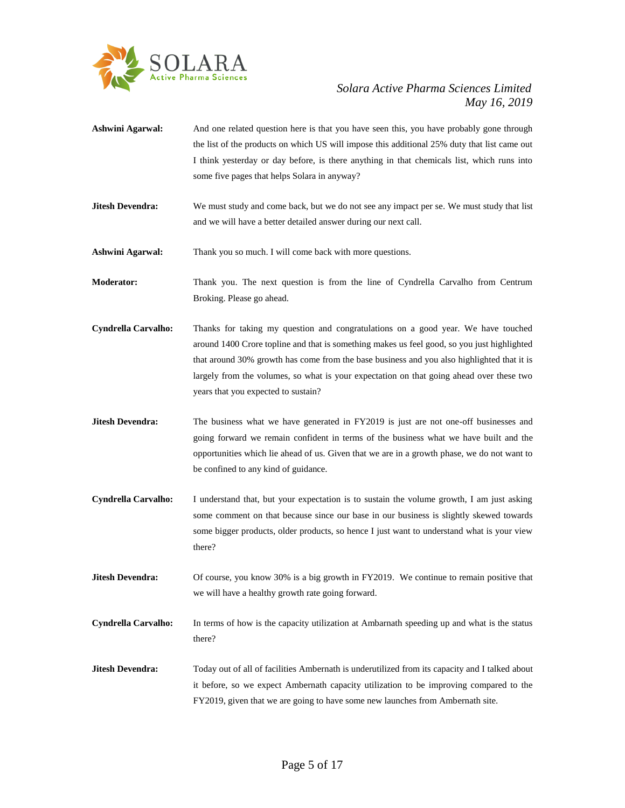

- **Ashwini Agarwal:** And one related question here is that you have seen this, you have probably gone through the list of the products on which US will impose this additional 25% duty that list came out I think yesterday or day before, is there anything in that chemicals list, which runs into some five pages that helps Solara in anyway?
- **Jitesh Devendra:** We must study and come back, but we do not see any impact per se. We must study that list and we will have a better detailed answer during our next call.

**Ashwini Agarwal:** Thank you so much. I will come back with more questions.

**Moderator:** Thank you. The next question is from the line of Cyndrella Carvalho from Centrum Broking. Please go ahead.

- **Cyndrella Carvalho:** Thanks for taking my question and congratulations on a good year. We have touched around 1400 Crore topline and that is something makes us feel good, so you just highlighted that around 30% growth has come from the base business and you also highlighted that it is largely from the volumes, so what is your expectation on that going ahead over these two years that you expected to sustain?
- **Jitesh Devendra:** The business what we have generated in FY2019 is just are not one-off businesses and going forward we remain confident in terms of the business what we have built and the opportunities which lie ahead of us. Given that we are in a growth phase, we do not want to be confined to any kind of guidance.
- **Cyndrella Carvalho:** I understand that, but your expectation is to sustain the volume growth, I am just asking some comment on that because since our base in our business is slightly skewed towards some bigger products, older products, so hence I just want to understand what is your view there?
- **Jitesh Devendra:** Of course, you know 30% is a big growth in FY2019. We continue to remain positive that we will have a healthy growth rate going forward.
- **Cyndrella Carvalho:** In terms of how is the capacity utilization at Ambarnath speeding up and what is the status there?
- **Jitesh Devendra:** Today out of all of facilities Ambernath is underutilized from its capacity and I talked about it before, so we expect Ambernath capacity utilization to be improving compared to the FY2019, given that we are going to have some new launches from Ambernath site.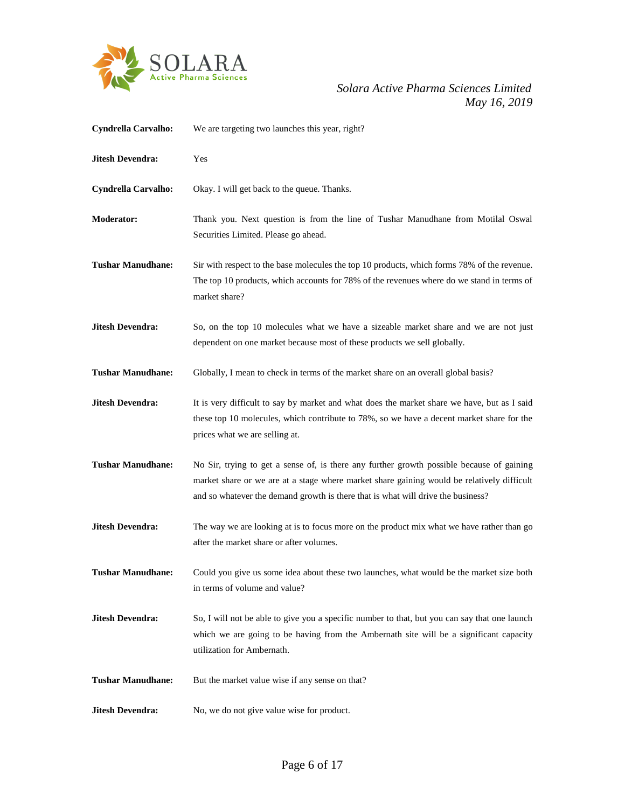

## *May 16, 2019*

| <b>Cyndrella Carvalho:</b> | We are targeting two launches this year, right?                                                                                                                                                                                                                             |
|----------------------------|-----------------------------------------------------------------------------------------------------------------------------------------------------------------------------------------------------------------------------------------------------------------------------|
| <b>Jitesh Devendra:</b>    | Yes                                                                                                                                                                                                                                                                         |
| Cyndrella Carvalho:        | Okay. I will get back to the queue. Thanks.                                                                                                                                                                                                                                 |
| <b>Moderator:</b>          | Thank you. Next question is from the line of Tushar Manudhane from Motilal Oswal<br>Securities Limited. Please go ahead.                                                                                                                                                    |
| <b>Tushar Manudhane:</b>   | Sir with respect to the base molecules the top 10 products, which forms 78% of the revenue.<br>The top 10 products, which accounts for 78% of the revenues where do we stand in terms of<br>market share?                                                                   |
| <b>Jitesh Devendra:</b>    | So, on the top 10 molecules what we have a sizeable market share and we are not just<br>dependent on one market because most of these products we sell globally.                                                                                                            |
| <b>Tushar Manudhane:</b>   | Globally, I mean to check in terms of the market share on an overall global basis?                                                                                                                                                                                          |
| <b>Jitesh Devendra:</b>    | It is very difficult to say by market and what does the market share we have, but as I said<br>these top 10 molecules, which contribute to 78%, so we have a decent market share for the<br>prices what we are selling at.                                                  |
| <b>Tushar Manudhane:</b>   | No Sir, trying to get a sense of, is there any further growth possible because of gaining<br>market share or we are at a stage where market share gaining would be relatively difficult<br>and so whatever the demand growth is there that is what will drive the business? |
| <b>Jitesh Devendra:</b>    | The way we are looking at is to focus more on the product mix what we have rather than go<br>after the market share or after volumes.                                                                                                                                       |
| <b>Tushar Manudhane:</b>   | Could you give us some idea about these two launches, what would be the market size both<br>in terms of volume and value?                                                                                                                                                   |
| <b>Jitesh Devendra:</b>    | So, I will not be able to give you a specific number to that, but you can say that one launch<br>which we are going to be having from the Ambernath site will be a significant capacity<br>utilization for Ambernath.                                                       |
| <b>Tushar Manudhane:</b>   | But the market value wise if any sense on that?                                                                                                                                                                                                                             |
| <b>Jitesh Devendra:</b>    | No, we do not give value wise for product.                                                                                                                                                                                                                                  |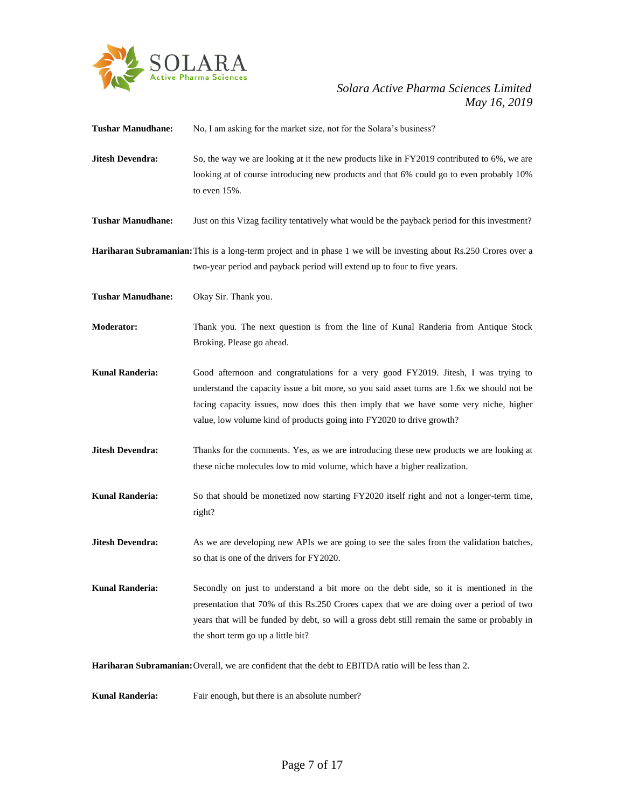

## *May 16, 2019*

| <b>Tushar Manudhane:</b> | No, I am asking for the market size, not for the Solara's business?                                                                                                                                                                                                                                                                                 |
|--------------------------|-----------------------------------------------------------------------------------------------------------------------------------------------------------------------------------------------------------------------------------------------------------------------------------------------------------------------------------------------------|
| <b>Jitesh Devendra:</b>  | So, the way we are looking at it the new products like in FY2019 contributed to 6%, we are<br>looking at of course introducing new products and that 6% could go to even probably 10%<br>to even $15%$ .                                                                                                                                            |
| <b>Tushar Manudhane:</b> | Just on this Vizag facility tentatively what would be the payback period for this investment?                                                                                                                                                                                                                                                       |
|                          | <b>Hariharan Subramanian:</b> This is a long-term project and in phase 1 we will be investing about Rs.250 Crores over a<br>two-year period and payback period will extend up to four to five years.                                                                                                                                                |
| <b>Tushar Manudhane:</b> | Okay Sir. Thank you.                                                                                                                                                                                                                                                                                                                                |
| <b>Moderator:</b>        | Thank you. The next question is from the line of Kunal Randeria from Antique Stock<br>Broking. Please go ahead.                                                                                                                                                                                                                                     |
| <b>Kunal Randeria:</b>   | Good afternoon and congratulations for a very good FY2019. Jitesh, I was trying to<br>understand the capacity issue a bit more, so you said asset turns are 1.6x we should not be<br>facing capacity issues, now does this then imply that we have some very niche, higher<br>value, low volume kind of products going into FY2020 to drive growth? |
| <b>Jitesh Devendra:</b>  | Thanks for the comments. Yes, as we are introducing these new products we are looking at<br>these niche molecules low to mid volume, which have a higher realization.                                                                                                                                                                               |
| <b>Kunal Randeria:</b>   | So that should be monetized now starting FY2020 itself right and not a longer-term time,<br>right?                                                                                                                                                                                                                                                  |
| <b>Jitesh Devendra:</b>  | As we are developing new APIs we are going to see the sales from the validation batches,<br>so that is one of the drivers for FY2020.                                                                                                                                                                                                               |
| <b>Kunal Randeria:</b>   | Secondly on just to understand a bit more on the debt side, so it is mentioned in the<br>presentation that 70% of this Rs.250 Crores capex that we are doing over a period of two<br>years that will be funded by debt, so will a gross debt still remain the same or probably in<br>the short term go up a little bit?                             |
|                          | <b>Hariharan Subramanian:</b> Overall, we are confident that the debt to EBITDA ratio will be less than 2.                                                                                                                                                                                                                                          |
| <b>Kunal Randeria:</b>   | Fair enough, but there is an absolute number?                                                                                                                                                                                                                                                                                                       |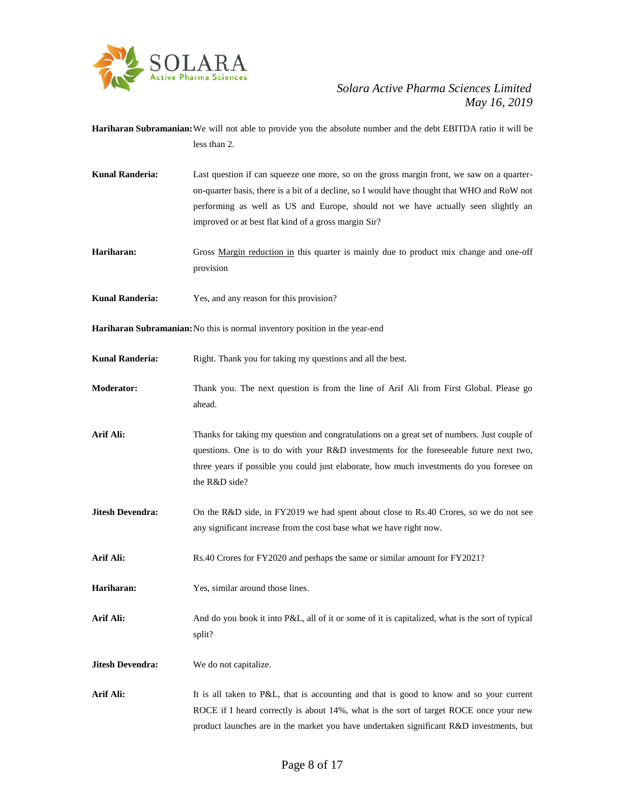

**Hariharan Subramanian:**We will not able to provide you the absolute number and the debt EBITDA ratio it will be less than 2.

- **Kunal Randeria:** Last question if can squeeze one more, so on the gross margin front, we saw on a quarteron-quarter basis, there is a bit of a decline, so I would have thought that WHO and RoW not performing as well as US and Europe, should not we have actually seen slightly an improved or at best flat kind of a gross margin Sir?
- Hariharan: Gross Margin reduction in this quarter is mainly due to product mix change and one-off provision
- **Kunal Randeria:** Yes, and any reason for this provision?

**Hariharan Subramanian:**No this is normal inventory position in the year-end

**Kunal Randeria:** Right. Thank you for taking my questions and all the best.

**Moderator:** Thank you. The next question is from the line of Arif Ali from First Global. Please go ahead.

**Arif Ali:** Thanks for taking my question and congratulations on a great set of numbers. Just couple of questions. One is to do with your R&D investments for the foreseeable future next two, three years if possible you could just elaborate, how much investments do you foresee on the R&D side?

- **Jitesh Devendra:** On the R&D side, in FY2019 we had spent about close to Rs.40 Crores, so we do not see any significant increase from the cost base what we have right now.
- **Arif Ali:** Rs.40 Crores for FY2020 and perhaps the same or similar amount for FY2021?
- **Hariharan:** Yes, similar around those lines.
- Arif Ali: And do you book it into P&L, all of it or some of it is capitalized, what is the sort of typical split?
- **Jitesh Devendra:** We do not capitalize.

Arif Ali: It is all taken to P&L, that is accounting and that is good to know and so your current ROCE if I heard correctly is about 14%, what is the sort of target ROCE once your new product launches are in the market you have undertaken significant R&D investments, but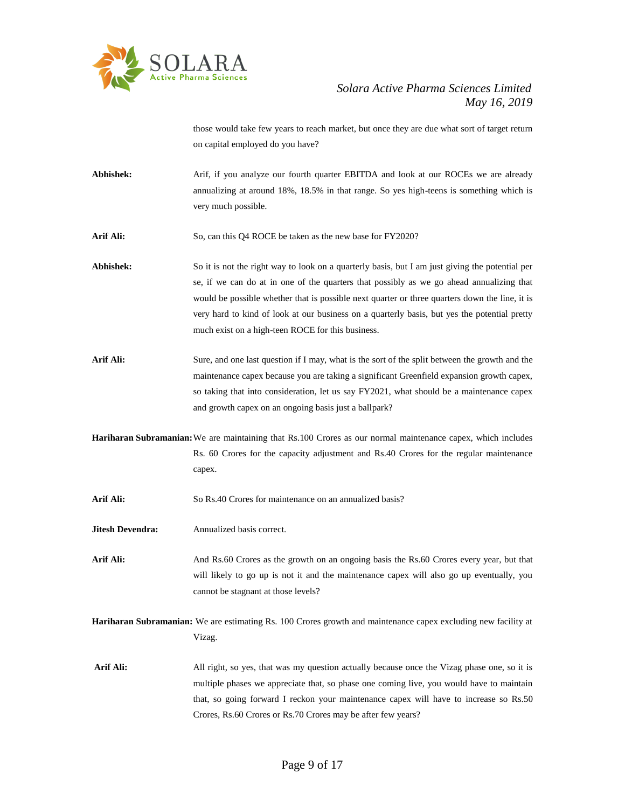

those would take few years to reach market, but once they are due what sort of target return on capital employed do you have?

- Abhishek: Arif, if you analyze our fourth quarter EBITDA and look at our ROCEs we are already annualizing at around 18%, 18.5% in that range. So yes high-teens is something which is very much possible.
- Arif Ali: So, can this Q4 ROCE be taken as the new base for FY2020?
- Abhishek: So it is not the right way to look on a quarterly basis, but I am just giving the potential per se, if we can do at in one of the quarters that possibly as we go ahead annualizing that would be possible whether that is possible next quarter or three quarters down the line, it is very hard to kind of look at our business on a quarterly basis, but yes the potential pretty much exist on a high-teen ROCE for this business.
- Arif Ali: Sure, and one last question if I may, what is the sort of the split between the growth and the maintenance capex because you are taking a significant Greenfield expansion growth capex, so taking that into consideration, let us say FY2021, what should be a maintenance capex and growth capex on an ongoing basis just a ballpark?
- **Hariharan Subramanian:**We are maintaining that Rs.100 Crores as our normal maintenance capex, which includes Rs. 60 Crores for the capacity adjustment and Rs.40 Crores for the regular maintenance capex.
- Arif Ali: So Rs.40 Crores for maintenance on an annualized basis?
- **Jitesh Devendra:** Annualized basis correct.
- Arif Ali: And Rs.60 Crores as the growth on an ongoing basis the Rs.60 Crores every year, but that will likely to go up is not it and the maintenance capex will also go up eventually, you cannot be stagnant at those levels?
- **Hariharan Subramanian:** We are estimating Rs. 100 Crores growth and maintenance capex excluding new facility at Vizag.
- Arif Ali: All right, so yes, that was my question actually because once the Vizag phase one, so it is multiple phases we appreciate that, so phase one coming live, you would have to maintain that, so going forward I reckon your maintenance capex will have to increase so Rs.50 Crores, Rs.60 Crores or Rs.70 Crores may be after few years?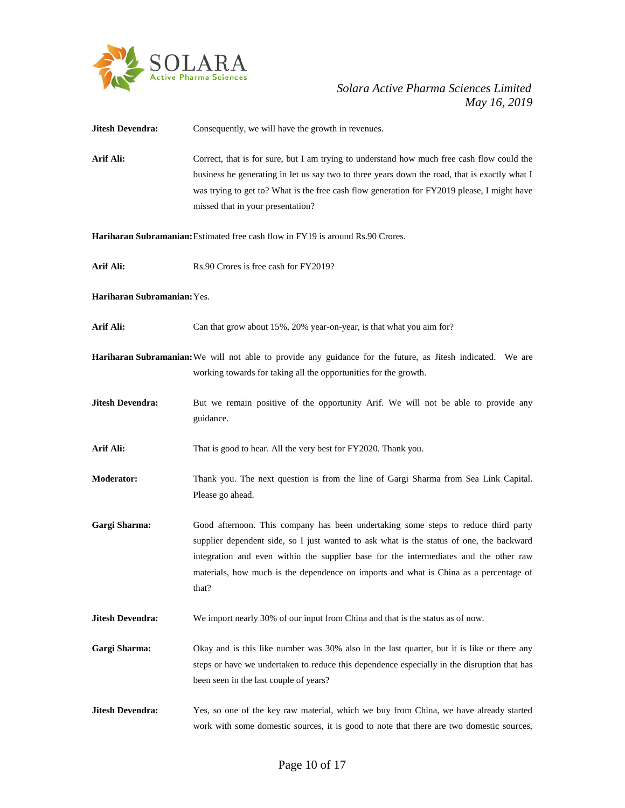

**Jitesh Devendra:** Consequently, we will have the growth in revenues. Arif Ali: Correct, that is for sure, but I am trying to understand how much free cash flow could the business be generating in let us say two to three years down the road, that is exactly what I was trying to get to? What is the free cash flow generation for FY2019 please, I might have missed that in your presentation? **Hariharan Subramanian:**Estimated free cash flow in FY19 is around Rs.90 Crores. Arif Ali: Rs.90 Crores is free cash for FY2019? **Hariharan Subramanian:**Yes. Arif Ali: Can that grow about 15%, 20% year-on-year, is that what you aim for? **Hariharan Subramanian:**We will not able to provide any guidance for the future, as Jitesh indicated. We are working towards for taking all the opportunities for the growth. **Jitesh Devendra:** But we remain positive of the opportunity Arif. We will not be able to provide any guidance. Arif Ali: That is good to hear. All the very best for FY2020. Thank you. **Moderator:** Thank you. The next question is from the line of Gargi Sharma from Sea Link Capital. Please go ahead. **Gargi Sharma:** Good afternoon. This company has been undertaking some steps to reduce third party supplier dependent side, so I just wanted to ask what is the status of one, the backward integration and even within the supplier base for the intermediates and the other raw materials, how much is the dependence on imports and what is China as a percentage of that? **Jitesh Devendra:** We import nearly 30% of our input from China and that is the status as of now. Gargi Sharma: Okay and is this like number was 30% also in the last quarter, but it is like or there any steps or have we undertaken to reduce this dependence especially in the disruption that has been seen in the last couple of years? **Jitesh Devendra:** Yes, so one of the key raw material, which we buy from China, we have already started work with some domestic sources, it is good to note that there are two domestic sources,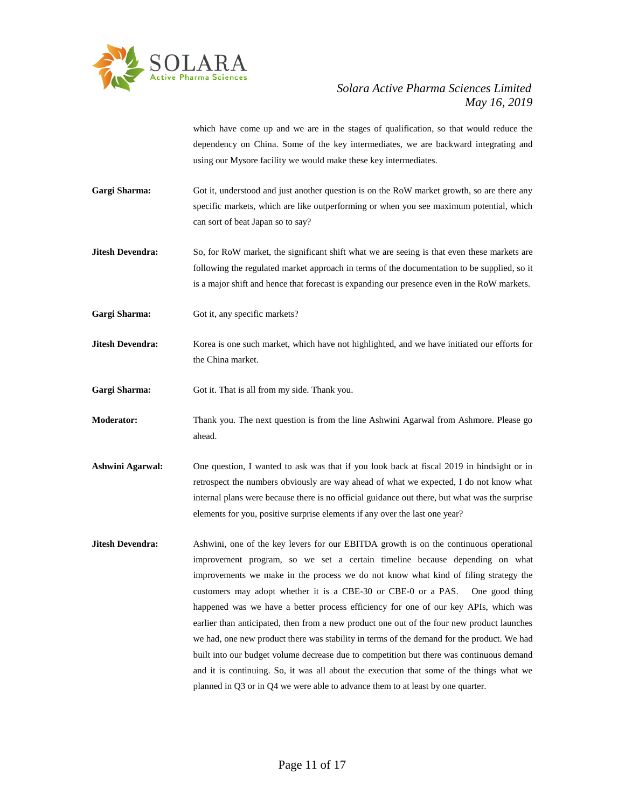

which have come up and we are in the stages of qualification, so that would reduce the dependency on China. Some of the key intermediates, we are backward integrating and using our Mysore facility we would make these key intermediates.

- Gargi Sharma: Got it, understood and just another question is on the RoW market growth, so are there any specific markets, which are like outperforming or when you see maximum potential, which can sort of beat Japan so to say?
- **Jitesh Devendra:** So, for RoW market, the significant shift what we are seeing is that even these markets are following the regulated market approach in terms of the documentation to be supplied, so it is a major shift and hence that forecast is expanding our presence even in the RoW markets.
- Gargi Sharma: Got it, any specific markets?
- **Jitesh Devendra:** Korea is one such market, which have not highlighted, and we have initiated our efforts for the China market.
- Gargi Sharma: Got it. That is all from my side. Thank you.
- **Moderator:** Thank you. The next question is from the line Ashwini Agarwal from Ashmore. Please go ahead.
- **Ashwini Agarwal:** One question, I wanted to ask was that if you look back at fiscal 2019 in hindsight or in retrospect the numbers obviously are way ahead of what we expected, I do not know what internal plans were because there is no official guidance out there, but what was the surprise elements for you, positive surprise elements if any over the last one year?
- **Jitesh Devendra:** Ashwini, one of the key levers for our EBITDA growth is on the continuous operational improvement program, so we set a certain timeline because depending on what improvements we make in the process we do not know what kind of filing strategy the customers may adopt whether it is a CBE-30 or CBE-0 or a PAS. One good thing happened was we have a better process efficiency for one of our key APIs, which was earlier than anticipated, then from a new product one out of the four new product launches we had, one new product there was stability in terms of the demand for the product. We had built into our budget volume decrease due to competition but there was continuous demand and it is continuing. So, it was all about the execution that some of the things what we planned in Q3 or in Q4 we were able to advance them to at least by one quarter.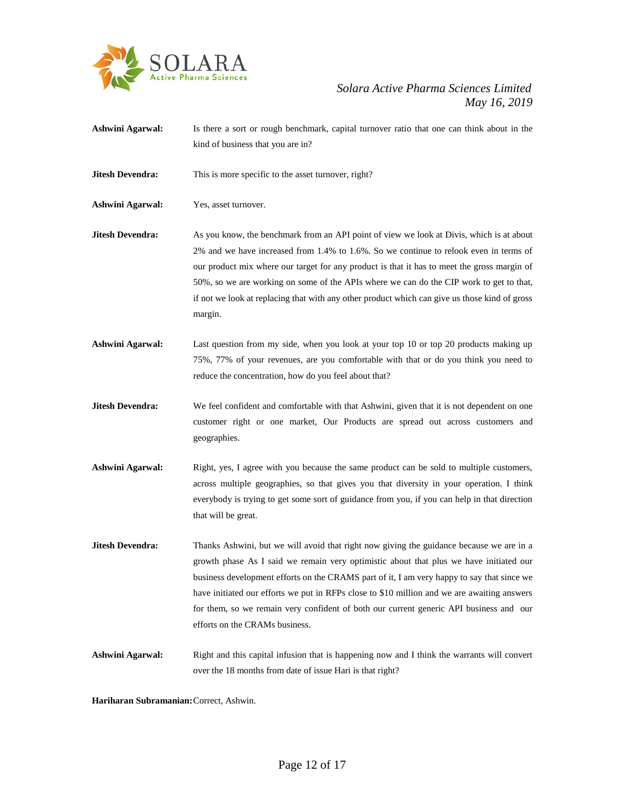

- **Ashwini Agarwal:** Is there a sort or rough benchmark, capital turnover ratio that one can think about in the kind of business that you are in?
- **Jitesh Devendra:** This is more specific to the asset turnover, right?

**Ashwini Agarwal:** Yes, asset turnover.

- **Jitesh Devendra:** As you know, the benchmark from an API point of view we look at Divis, which is at about 2% and we have increased from 1.4% to 1.6%. So we continue to relook even in terms of our product mix where our target for any product is that it has to meet the gross margin of 50%, so we are working on some of the APIs where we can do the CIP work to get to that, if not we look at replacing that with any other product which can give us those kind of gross margin.
- **Ashwini Agarwal:** Last question from my side, when you look at your top 10 or top 20 products making up 75%, 77% of your revenues, are you comfortable with that or do you think you need to reduce the concentration, how do you feel about that?
- **Jitesh Devendra:** We feel confident and comfortable with that Ashwini, given that it is not dependent on one customer right or one market, Our Products are spread out across customers and geographies.
- **Ashwini Agarwal:** Right, yes, I agree with you because the same product can be sold to multiple customers, across multiple geographies, so that gives you that diversity in your operation. I think everybody is trying to get some sort of guidance from you, if you can help in that direction that will be great.
- **Jitesh Devendra:** Thanks Ashwini, but we will avoid that right now giving the guidance because we are in a growth phase As I said we remain very optimistic about that plus we have initiated our business development efforts on the CRAMS part of it, I am very happy to say that since we have initiated our efforts we put in RFPs close to \$10 million and we are awaiting answers for them, so we remain very confident of both our current generic API business and our efforts on the CRAMs business.
- **Ashwini Agarwal:** Right and this capital infusion that is happening now and I think the warrants will convert over the 18 months from date of issue Hari is that right?

**Hariharan Subramanian:**Correct, Ashwin.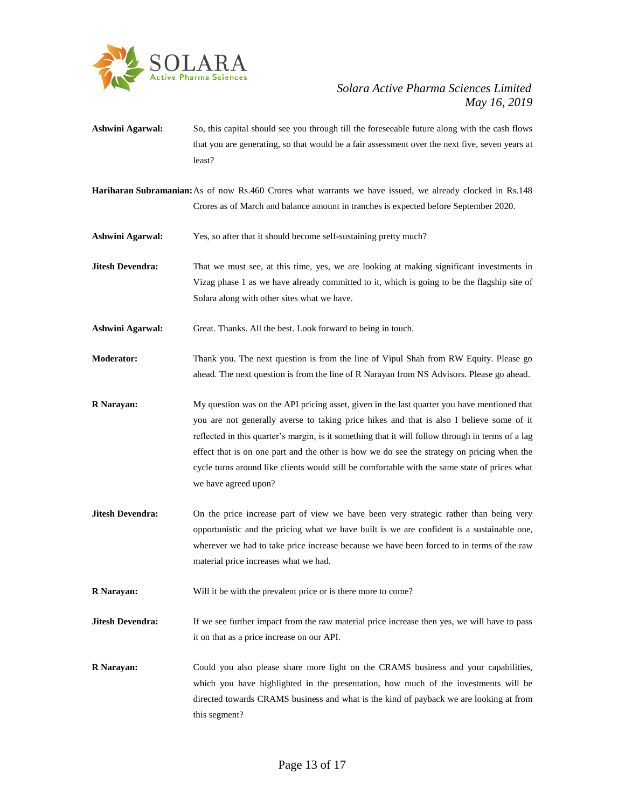

**Ashwini Agarwal:** So, this capital should see you through till the foreseeable future along with the cash flows that you are generating, so that would be a fair assessment over the next five, seven years at least?

**Hariharan Subramanian:**As of now Rs.460 Crores what warrants we have issued, we already clocked in Rs.148 Crores as of March and balance amount in tranches is expected before September 2020.

- **Ashwini Agarwal:** Yes, so after that it should become self-sustaining pretty much?
- **Jitesh Devendra:** That we must see, at this time, yes, we are looking at making significant investments in Vizag phase 1 as we have already committed to it, which is going to be the flagship site of Solara along with other sites what we have.
- **Ashwini Agarwal:** Great. Thanks. All the best. Look forward to being in touch.
- **Moderator:** Thank you. The next question is from the line of Vipul Shah from RW Equity. Please go ahead. The next question is from the line of R Narayan from NS Advisors. Please go ahead.
- **R Narayan:** My question was on the API pricing asset, given in the last quarter you have mentioned that you are not generally averse to taking price hikes and that is also I believe some of it reflected in this quarter's margin, is it something that it will follow through in terms of a lag effect that is on one part and the other is how we do see the strategy on pricing when the cycle turns around like clients would still be comfortable with the same state of prices what we have agreed upon?
- **Jitesh Devendra:** On the price increase part of view we have been very strategic rather than being very opportunistic and the pricing what we have built is we are confident is a sustainable one, wherever we had to take price increase because we have been forced to in terms of the raw material price increases what we had.
- **R Narayan:** Will it be with the prevalent price or is there more to come?

**Jitesh Devendra:** If we see further impact from the raw material price increase then yes, we will have to pass it on that as a price increase on our API.

**R Narayan:** Could you also please share more light on the CRAMS business and your capabilities, which you have highlighted in the presentation, how much of the investments will be directed towards CRAMS business and what is the kind of payback we are looking at from this segment?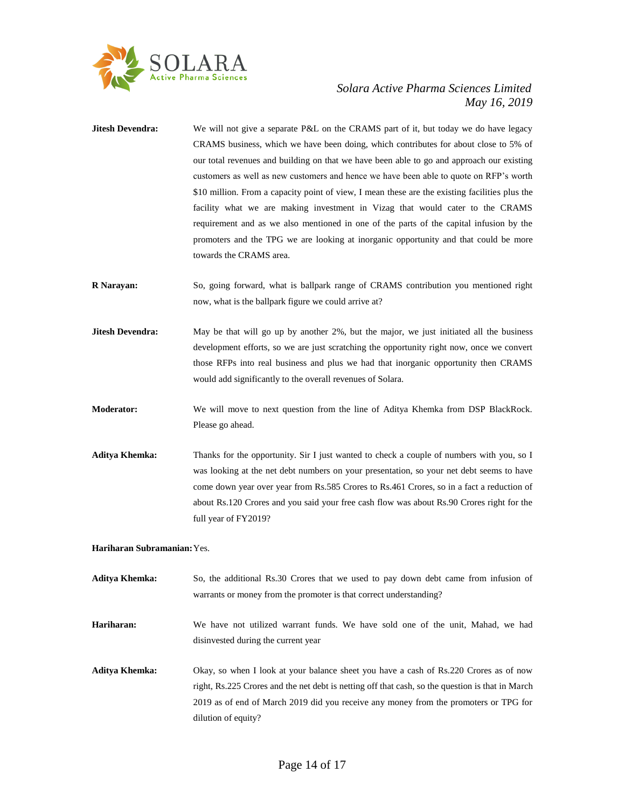

- **Jitesh Devendra:** We will not give a separate P&L on the CRAMS part of it, but today we do have legacy CRAMS business, which we have been doing, which contributes for about close to 5% of our total revenues and building on that we have been able to go and approach our existing customers as well as new customers and hence we have been able to quote on RFP's worth \$10 million. From a capacity point of view, I mean these are the existing facilities plus the facility what we are making investment in Vizag that would cater to the CRAMS requirement and as we also mentioned in one of the parts of the capital infusion by the promoters and the TPG we are looking at inorganic opportunity and that could be more towards the CRAMS area.
- **R Narayan:** So, going forward, what is ballpark range of CRAMS contribution you mentioned right now, what is the ballpark figure we could arrive at?
- **Jitesh Devendra:** May be that will go up by another 2%, but the major, we just initiated all the business development efforts, so we are just scratching the opportunity right now, once we convert those RFPs into real business and plus we had that inorganic opportunity then CRAMS would add significantly to the overall revenues of Solara.
- **Moderator:** We will move to next question from the line of Aditya Khemka from DSP BlackRock. Please go ahead.
- **Aditya Khemka:** Thanks for the opportunity. Sir I just wanted to check a couple of numbers with you, so I was looking at the net debt numbers on your presentation, so your net debt seems to have come down year over year from Rs.585 Crores to Rs.461 Crores, so in a fact a reduction of about Rs.120 Crores and you said your free cash flow was about Rs.90 Crores right for the full year of FY2019?

#### **Hariharan Subramanian:**Yes.

- **Aditya Khemka:** So, the additional Rs.30 Crores that we used to pay down debt came from infusion of warrants or money from the promoter is that correct understanding?
- **Hariharan:** We have not utilized warrant funds. We have sold one of the unit, Mahad, we had disinvested during the current year
- **Aditya Khemka:** Okay, so when I look at your balance sheet you have a cash of Rs.220 Crores as of now right, Rs.225 Crores and the net debt is netting off that cash, so the question is that in March 2019 as of end of March 2019 did you receive any money from the promoters or TPG for dilution of equity?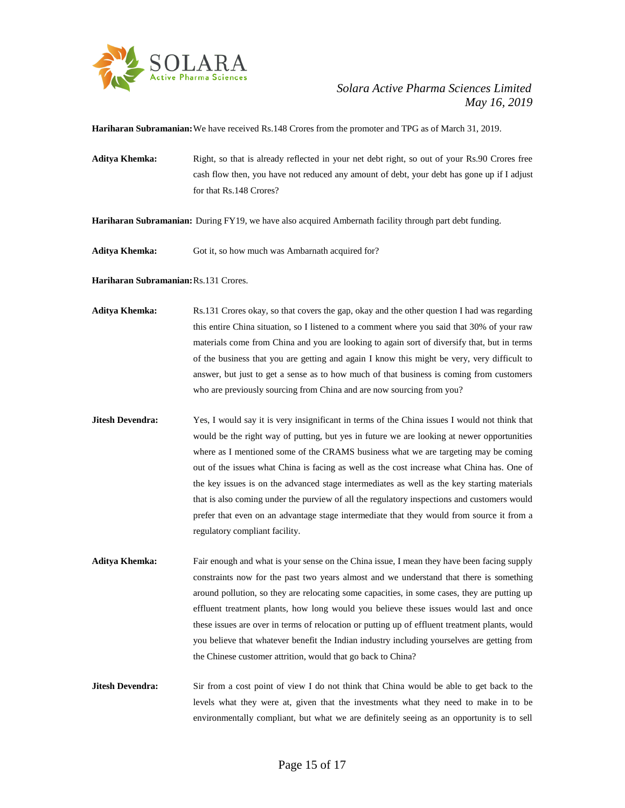

**Hariharan Subramanian:**We have received Rs.148 Crores from the promoter and TPG as of March 31, 2019.

Aditya Khemka: Right, so that is already reflected in your net debt right, so out of your Rs.90 Crores free cash flow then, you have not reduced any amount of debt, your debt has gone up if I adjust for that Rs.148 Crores?

**Hariharan Subramanian:** During FY19, we have also acquired Ambernath facility through part debt funding.

Aditya Khemka: Got it, so how much was Ambarnath acquired for?

**Hariharan Subramanian:**Rs.131 Crores.

- **Aditya Khemka:** Rs.131 Crores okay, so that covers the gap, okay and the other question I had was regarding this entire China situation, so I listened to a comment where you said that 30% of your raw materials come from China and you are looking to again sort of diversify that, but in terms of the business that you are getting and again I know this might be very, very difficult to answer, but just to get a sense as to how much of that business is coming from customers who are previously sourcing from China and are now sourcing from you?
- **Jitesh Devendra:** Yes, I would say it is very insignificant in terms of the China issues I would not think that would be the right way of putting, but yes in future we are looking at newer opportunities where as I mentioned some of the CRAMS business what we are targeting may be coming out of the issues what China is facing as well as the cost increase what China has. One of the key issues is on the advanced stage intermediates as well as the key starting materials that is also coming under the purview of all the regulatory inspections and customers would prefer that even on an advantage stage intermediate that they would from source it from a regulatory compliant facility.
- Aditya Khemka: Fair enough and what is your sense on the China issue, I mean they have been facing supply constraints now for the past two years almost and we understand that there is something around pollution, so they are relocating some capacities, in some cases, they are putting up effluent treatment plants, how long would you believe these issues would last and once these issues are over in terms of relocation or putting up of effluent treatment plants, would you believe that whatever benefit the Indian industry including yourselves are getting from the Chinese customer attrition, would that go back to China?
- **Jitesh Devendra:** Sir from a cost point of view I do not think that China would be able to get back to the levels what they were at, given that the investments what they need to make in to be environmentally compliant, but what we are definitely seeing as an opportunity is to sell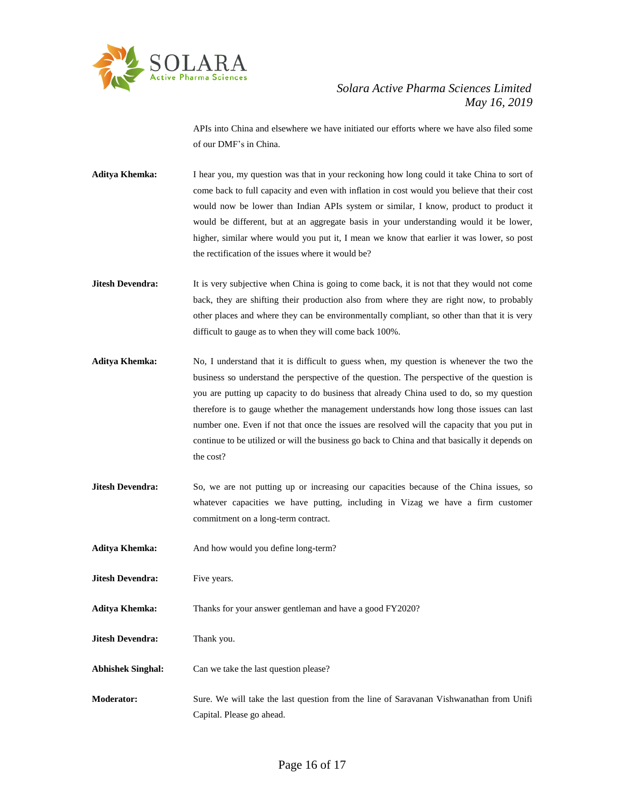

APIs into China and elsewhere we have initiated our efforts where we have also filed some of our DMF's in China.

- **Aditya Khemka:** I hear you, my question was that in your reckoning how long could it take China to sort of come back to full capacity and even with inflation in cost would you believe that their cost would now be lower than Indian APIs system or similar, I know, product to product it would be different, but at an aggregate basis in your understanding would it be lower, higher, similar where would you put it, I mean we know that earlier it was lower, so post the rectification of the issues where it would be?
- **Jitesh Devendra:** It is very subjective when China is going to come back, it is not that they would not come back, they are shifting their production also from where they are right now, to probably other places and where they can be environmentally compliant, so other than that it is very difficult to gauge as to when they will come back 100%.
- **Aditya Khemka:** No, I understand that it is difficult to guess when, my question is whenever the two the business so understand the perspective of the question. The perspective of the question is you are putting up capacity to do business that already China used to do, so my question therefore is to gauge whether the management understands how long those issues can last number one. Even if not that once the issues are resolved will the capacity that you put in continue to be utilized or will the business go back to China and that basically it depends on the cost?
- **Jitesh Devendra:** So, we are not putting up or increasing our capacities because of the China issues, so whatever capacities we have putting, including in Vizag we have a firm customer commitment on a long-term contract.
- **Aditya Khemka:** And how would you define long-term?
- **Jitesh Devendra:** Five years.
- Aditya Khemka: Thanks for your answer gentleman and have a good FY2020?
- **Jitesh Devendra:** Thank you.
- **Abhishek Singhal:** Can we take the last question please?
- **Moderator:** Sure. We will take the last question from the line of Saravanan Vishwanathan from Unifi Capital. Please go ahead.